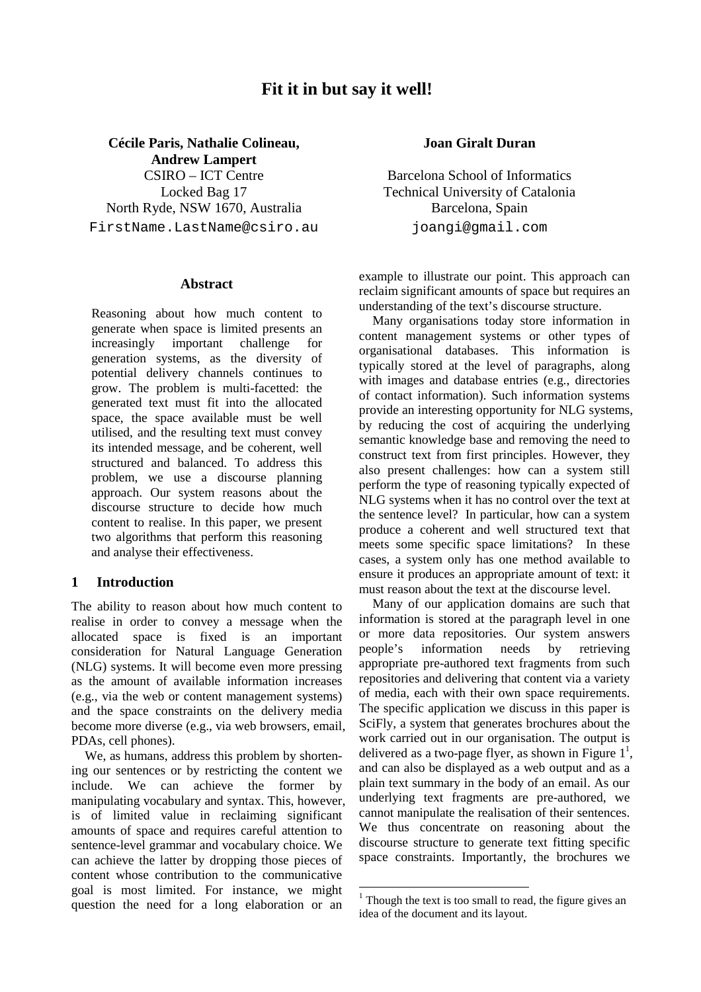# **Fit it in but say it well!**

**Cécile Paris, Nathalie Colineau, Andrew Lampert** CSIRO – ICT Centre Locked Bag 17 North Ryde, NSW 1670, Australia FirstName.LastName@csiro.au

### **Abstract**

Reasoning about how much content to generate when space is limited presents an increasingly important challenge for generation systems, as the diversity of potential delivery channels continues to grow. The problem is multi-facetted: the generated text must fit into the allocated space, the space available must be well utilised, and the resulting text must convey its intended message, and be coherent, well structured and balanced. To address this problem, we use a discourse planning approach. Our system reasons about the discourse structure to decide how much content to realise. In this paper, we present two algorithms that perform this reasoning and analyse their effectiveness.

### **1 Introduction**

The ability to reason about how much content to realise in order to convey a message when the allocated space is fixed is an important consideration for Natural Language Generation (NLG) systems. It will become even more pressing as the amount of available information increases (e.g., via the web or content management systems) and the space constraints on the delivery media become more diverse (e.g., via web browsers, email, PDAs, cell phones).

We, as humans, address this problem by shortening our sentences or by restricting the content we include. We can achieve the former by manipulating vocabulary and syntax. This, however, is of limited value in reclaiming significant amounts of space and requires careful attention to sentence-level grammar and vocabulary choice. We can achieve the latter by dropping those pieces of content whose contribution to the communicative goal is most limited. For instance, we might question the need for a long elaboration or an

# **Joan Giralt Duran**

Barcelona School of Informatics Technical University of Catalonia Barcelona, Spain joangi@gmail.com

example to illustrate our point. This approach can reclaim significant amounts of space but requires an understanding of the text's discourse structure.

Many organisations today store information in content management systems or other types of organisational databases. This information is typically stored at the level of paragraphs, along with images and database entries (e.g., directories of contact information). Such information systems provide an interesting opportunity for NLG systems, by reducing the cost of acquiring the underlying semantic knowledge base and removing the need to construct text from first principles. However, they also present challenges: how can a system still perform the type of reasoning typically expected of NLG systems when it has no control over the text at the sentence level? In particular, how can a system produce a coherent and well structured text that meets some specific space limitations? In these cases, a system only has one method available to ensure it produces an appropriate amount of text: it must reason about the text at the discourse level.

Many of our application domains are such that information is stored at the paragraph level in one or more data repositories. Our system answers people's information needs by retrieving appropriate pre-authored text fragments from such repositories and delivering that content via a variety of media, each with their own space requirements. The specific application we discuss in this paper is SciFly, a system that generates brochures about the work carried out in our organisation. The output is delivered as a two-page flyer, as shown in Figure  $1^1$ , and can also be displayed as a web output and as a plain text summary in the body of an email. As our underlying text fragments are pre-authored, we cannot manipulate the realisation of their sentences. We thus concentrate on reasoning about the discourse structure to generate text fitting specific space constraints. Importantly, the brochures we

<sup>&</sup>lt;sup>1</sup> Though the text is too small to read, the figure gives an idea of the document and its layout.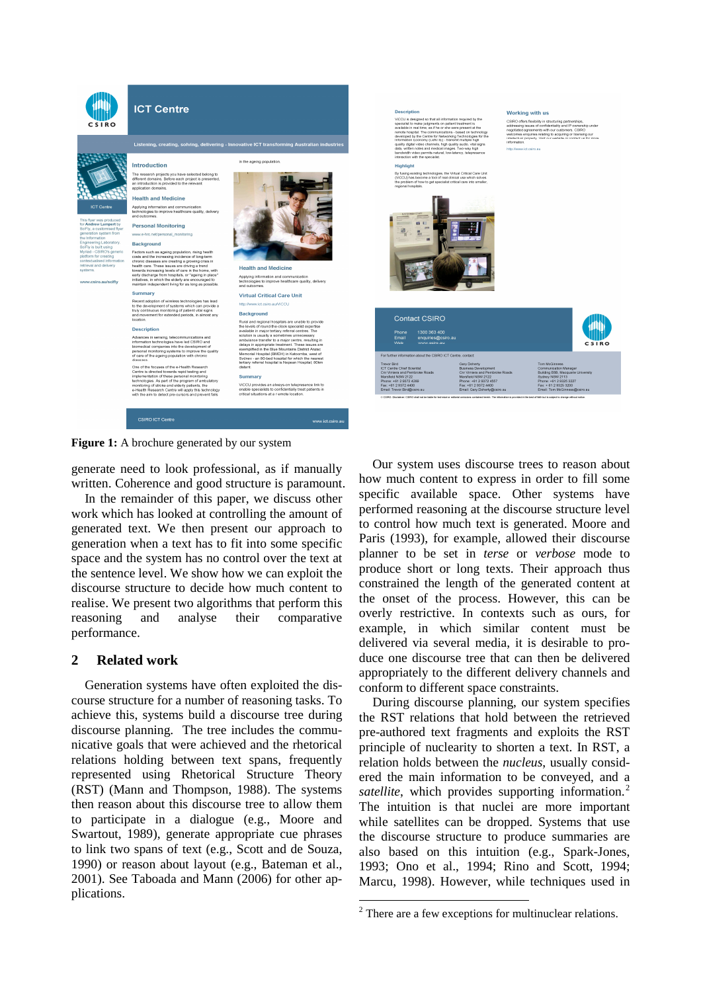

**Figure 1:** A brochure generated by our system

generate need to look professional, as if manually written. Coherence and good structure is paramount.

In the remainder of this paper, we discuss other work which has looked at controlling the amount of generated text. We then present our approach to generation when a text has to fit into some specific space and the system has no control over the text at the sentence level. We show how we can exploit the discourse structure to decide how much content to realise. We present two algorithms that perform this reasoning and analyse their comparative performance.

# **2 Related work**

Generation systems have often exploited the discourse structure for a number of reasoning tasks. To achieve this, systems build a discourse tree during discourse planning. The tree includes the communicative goals that were achieved and the rhetorical relations holding between text spans, frequently represented using Rhetorical Structure Theory (RST) (Mann and Thompson, 1988). The systems then reason about this discourse tree to allow them to participate in a dialogue (e.g., Moore and Swartout, 1989), generate appropriate cue phrases to link two spans of text (e.g., Scott and de Souza, 1990) or reason about layout (e.g., Bateman et al., 2001). See Taboada and Mann (2006) for other applications.

Our system uses discourse trees to reason about how much content to express in order to fill some specific available space. Other systems have performed reasoning at the discourse structure level to control how much text is generated. Moore and Paris (1993), for example, allowed their discourse planner to be set in *terse* or *verbose* mode to produce short or long texts. Their approach thus constrained the length of the generated content at the onset of the process. However, this can be overly restrictive. In contexts such as ours, for example, in which similar content must be delivered via several media, it is desirable to produce one discourse tree that can then be delivered appropriately to the different delivery channels and conform to different space constraints.

During discourse planning, our system specifies the RST relations that hold between the retrieved pre-authored text fragments and exploits the RST principle of nuclearity to shorten a text. In RST, a relation holds between the *nucleus*, usually considered the main information to be conveyed, and a *satellite*, which provides supporting information.<sup>2</sup> The intuition is that nuclei are more important while satellites can be dropped. Systems that use the discourse structure to produce summaries are also based on this intuition (e.g., Spark-Jones, 1993; Ono et al., 1994; Rino and Scott, 1994; Marcu, 1998). However, while techniques used in

 $2$  There are a few exceptions for multinuclear relations.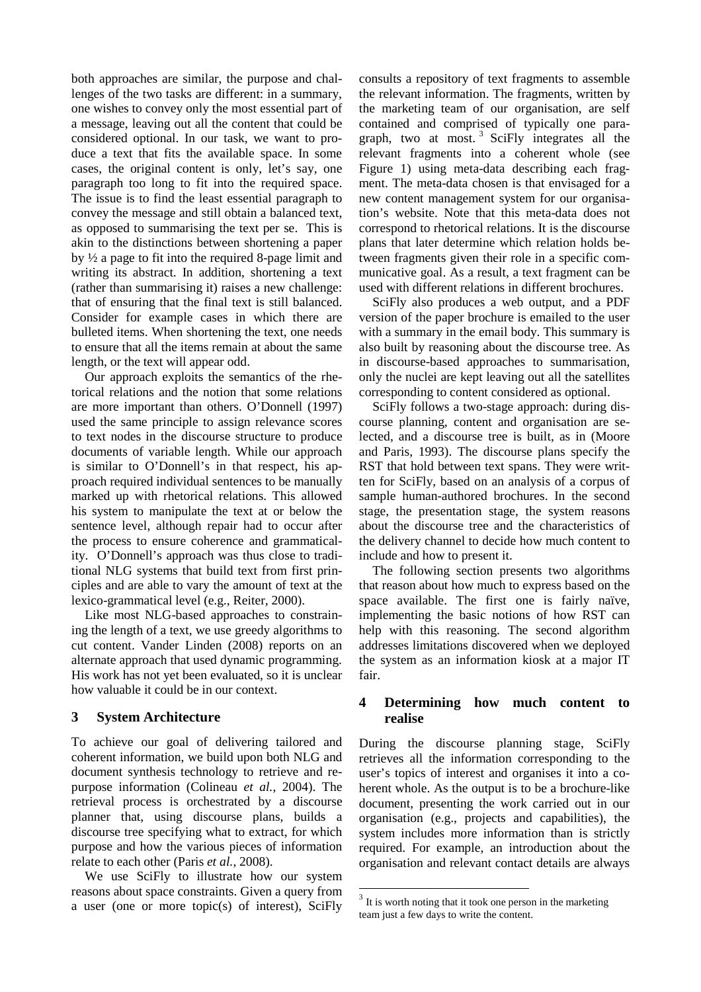both approaches are similar, the purpose and challenges of the two tasks are different: in a summary, one wishes to convey only the most essential part of a message, leaving out all the content that could be considered optional. In our task, we want to produce a text that fits the available space. In some cases, the original content is only, let's say, one paragraph too long to fit into the required space. The issue is to find the least essential paragraph to convey the message and still obtain a balanced text, as opposed to summarising the text per se. This is akin to the distinctions between shortening a paper by ½ a page to fit into the required 8-page limit and writing its abstract. In addition, shortening a text (rather than summarising it) raises a new challenge: that of ensuring that the final text is still balanced. Consider for example cases in which there are bulleted items. When shortening the text, one needs to ensure that all the items remain at about the same length, or the text will appear odd.

Our approach exploits the semantics of the rhetorical relations and the notion that some relations are more important than others. O'Donnell (1997) used the same principle to assign relevance scores to text nodes in the discourse structure to produce documents of variable length. While our approach is similar to O'Donnell's in that respect, his approach required individual sentences to be manually marked up with rhetorical relations. This allowed his system to manipulate the text at or below the sentence level, although repair had to occur after the process to ensure coherence and grammaticality. O'Donnell's approach was thus close to traditional NLG systems that build text from first principles and are able to vary the amount of text at the lexico-grammatical level (e.g., Reiter, 2000).

Like most NLG-based approaches to constraining the length of a text, we use greedy algorithms to cut content. Vander Linden (2008) reports on an alternate approach that used dynamic programming. His work has not yet been evaluated, so it is unclear how valuable it could be in our context.

### **3 System Architecture**

To achieve our goal of delivering tailored and coherent information, we build upon both NLG and document synthesis technology to retrieve and repurpose information (Colineau *et al.*, 2004). The retrieval process is orchestrated by a discourse planner that, using discourse plans, builds a discourse tree specifying what to extract, for which purpose and how the various pieces of information relate to each other (Paris *et al.*, 2008).

We use SciFly to illustrate how our system reasons about space constraints. Given a query from a user (one or more topic(s) of interest), SciFly

consults a repository of text fragments to assemble the relevant information. The fragments, written by the marketing team of our organisation, are self contained and comprised of typically one paragraph, two at most.<sup>3</sup> SciFly integrates all the relevant fragments into a coherent whole (see Figure 1) using meta-data describing each fragment. The meta-data chosen is that envisaged for a new content management system for our organisation's website. Note that this meta-data does not correspond to rhetorical relations. It is the discourse plans that later determine which relation holds between fragments given their role in a specific communicative goal. As a result, a text fragment can be used with different relations in different brochures.

SciFly also produces a web output, and a PDF version of the paper brochure is emailed to the user with a summary in the email body. This summary is also built by reasoning about the discourse tree. As in discourse-based approaches to summarisation, only the nuclei are kept leaving out all the satellites corresponding to content considered as optional.

SciFly follows a two-stage approach: during discourse planning, content and organisation are selected, and a discourse tree is built, as in (Moore and Paris, 1993). The discourse plans specify the RST that hold between text spans. They were written for SciFly, based on an analysis of a corpus of sample human-authored brochures. In the second stage, the presentation stage, the system reasons about the discourse tree and the characteristics of the delivery channel to decide how much content to include and how to present it.

The following section presents two algorithms that reason about how much to express based on the space available. The first one is fairly naïve, implementing the basic notions of how RST can help with this reasoning. The second algorithm addresses limitations discovered when we deployed the system as an information kiosk at a major IT fair.

### **4 Determining how much content to realise**

During the discourse planning stage, SciFly retrieves all the information corresponding to the user's topics of interest and organises it into a coherent whole. As the output is to be a brochure-like document, presenting the work carried out in our organisation (e.g., projects and capabilities), the system includes more information than is strictly required. For example, an introduction about the organisation and relevant contact details are always

 $3$  It is worth noting that it took one person in the marketing team just a few days to write the content.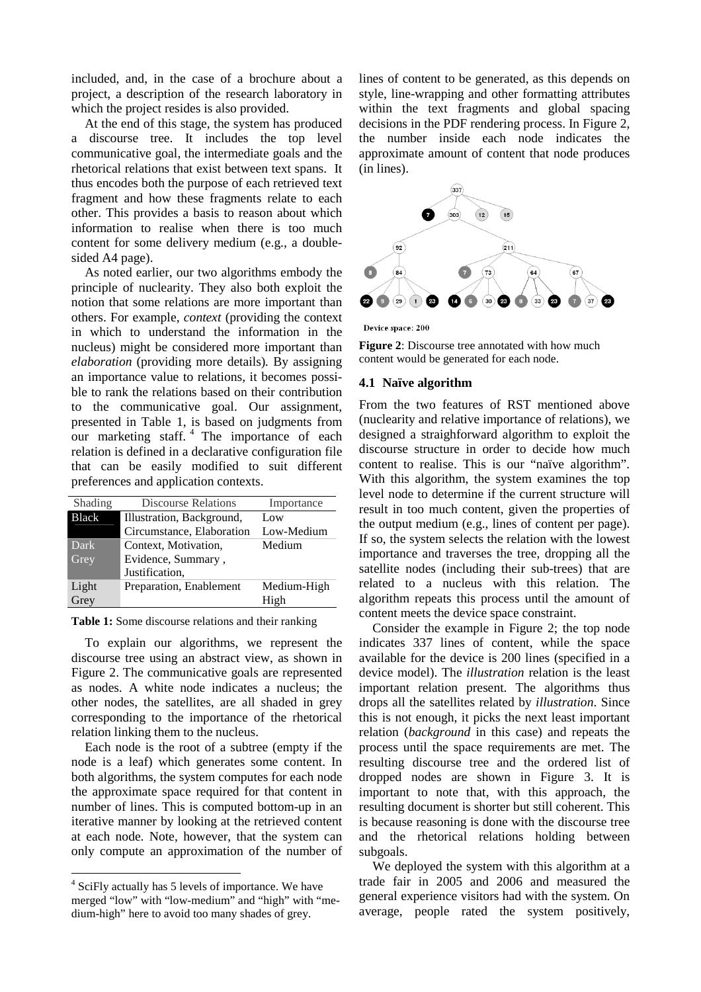included, and, in the case of a brochure about a project, a description of the research laboratory in which the project resides is also provided.

At the end of this stage, the system has produced a discourse tree. It includes the top level communicative goal, the intermediate goals and the rhetorical relations that exist between text spans. It thus encodes both the purpose of each retrieved text fragment and how these fragments relate to each other. This provides a basis to reason about which information to realise when there is too much content for some delivery medium (e.g., a doublesided A4 page).

As noted earlier, our two algorithms embody the principle of nuclearity. They also both exploit the notion that some relations are more important than others. For example, *context* (providing the context in which to understand the information in the nucleus) might be considered more important than *elaboration* (providing more details)*.* By assigning an importance value to relations, it becomes possible to rank the relations based on their contribution to the communicative goal. Our assignment, presented in Table 1, is based on judgments from our marketing staff.<sup>4</sup> The importance of each relation is defined in a declarative configuration file that can be easily modified to suit different preferences and application contexts.

| Shading      | <b>Discourse Relations</b> | Importance  |
|--------------|----------------------------|-------------|
| <b>Black</b> | Illustration, Background,  | Low         |
|              | Circumstance, Elaboration  | Low-Medium  |
| Dark         | Context, Motivation,       | Medium      |
| Grey         | Evidence, Summary,         |             |
|              | Justification.             |             |
| Light        | Preparation, Enablement    | Medium-High |
| Grey         |                            | High        |

**Table 1:** Some discourse relations and their ranking

To explain our algorithms, we represent the discourse tree using an abstract view, as shown in Figure 2. The communicative goals are represented as nodes. A white node indicates a nucleus; the other nodes, the satellites, are all shaded in grey corresponding to the importance of the rhetorical relation linking them to the nucleus.

Each node is the root of a subtree (empty if the node is a leaf) which generates some content. In both algorithms, the system computes for each node the approximate space required for that content in number of lines. This is computed bottom-up in an iterative manner by looking at the retrieved content at each node. Note, however, that the system can only compute an approximation of the number of lines of content to be generated, as this depends on style, line-wrapping and other formatting attributes within the text fragments and global spacing decisions in the PDF rendering process. In Figure 2, the number inside each node indicates the approximate amount of content that node produces (in lines).







# **4.1 Naïve algorithm**

From the two features of RST mentioned above (nuclearity and relative importance of relations), we designed a straighforward algorithm to exploit the discourse structure in order to decide how much content to realise. This is our "naïve algorithm". With this algorithm, the system examines the top level node to determine if the current structure will result in too much content, given the properties of the output medium (e.g., lines of content per page). If so, the system selects the relation with the lowest importance and traverses the tree, dropping all the satellite nodes (including their sub-trees) that are related to a nucleus with this relation. The algorithm repeats this process until the amount of content meets the device space constraint.

Consider the example in Figure 2; the top node indicates 337 lines of content, while the space available for the device is 200 lines (specified in a device model). The *illustration* relation is the least important relation present. The algorithms thus drops all the satellites related by *illustration*. Since this is not enough, it picks the next least important relation (*background* in this case) and repeats the process until the space requirements are met. The resulting discourse tree and the ordered list of dropped nodes are shown in Figure 3. It is important to note that, with this approach, the resulting document is shorter but still coherent. This is because reasoning is done with the discourse tree and the rhetorical relations holding between subgoals.

We deployed the system with this algorithm at a trade fair in 2005 and 2006 and measured the general experience visitors had with the system. On average, people rated the system positively,

<sup>&</sup>lt;sup>4</sup> SciFly actually has 5 levels of importance. We have merged "low" with "low-medium" and "high" with "medium-high" here to avoid too many shades of grey.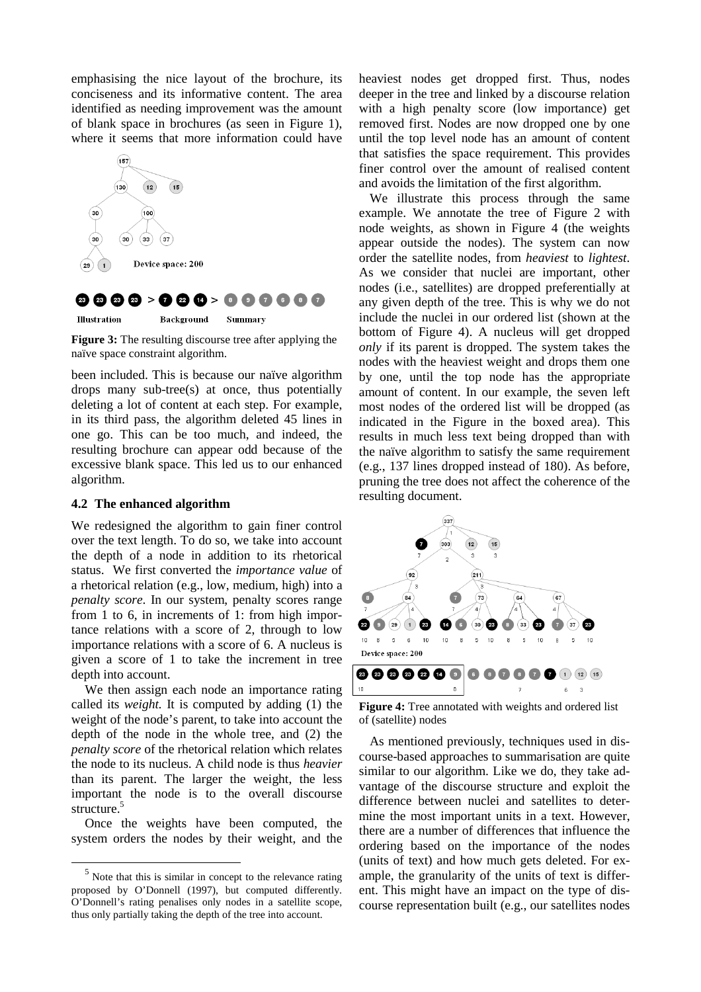emphasising the nice layout of the brochure, its conciseness and its informative content. The area identified as needing improvement was the amount of blank space in brochures (as seen in Figure 1), where it seems that more information could have



# **@@@@>Q@Q>@@@@@@**

**Illustration** Background Summary

**Figure 3:** The resulting discourse tree after applying the naïve space constraint algorithm.

been included. This is because our naïve algorithm drops many sub-tree(s) at once, thus potentially deleting a lot of content at each step. For example, in its third pass, the algorithm deleted 45 lines in one go. This can be too much, and indeed, the resulting brochure can appear odd because of the excessive blank space. This led us to our enhanced algorithm.

### **4.2 The enhanced algorithm**

We redesigned the algorithm to gain finer control over the text length. To do so, we take into account the depth of a node in addition to its rhetorical status. We first converted the *importance value* of a rhetorical relation (e.g., low, medium, high) into a *penalty score*. In our system, penalty scores range from 1 to 6, in increments of 1: from high importance relations with a score of 2, through to low importance relations with a score of 6. A nucleus is given a score of 1 to take the increment in tree depth into account.

We then assign each node an importance rating called its *weight.* It is computed by adding (1) the weight of the node's parent, to take into account the depth of the node in the whole tree, and (2) the *penalty score* of the rhetorical relation which relates the node to its nucleus. A child node is thus *heavier* than its parent. The larger the weight, the less important the node is to the overall discourse structure.<sup>5</sup>

Once the weights have been computed, the system orders the nodes by their weight, and the

heaviest nodes get dropped first. Thus, nodes deeper in the tree and linked by a discourse relation with a high penalty score (low importance) get removed first. Nodes are now dropped one by one until the top level node has an amount of content that satisfies the space requirement. This provides finer control over the amount of realised content and avoids the limitation of the first algorithm.

We illustrate this process through the same example. We annotate the tree of Figure 2 with node weights, as shown in Figure 4 (the weights appear outside the nodes). The system can now order the satellite nodes, from *heaviest* to *lightest*. As we consider that nuclei are important, other nodes (i.e., satellites) are dropped preferentially at any given depth of the tree. This is why we do not include the nuclei in our ordered list (shown at the bottom of Figure 4). A nucleus will get dropped *only* if its parent is dropped. The system takes the nodes with the heaviest weight and drops them one by one, until the top node has the appropriate amount of content. In our example, the seven left most nodes of the ordered list will be dropped (as indicated in the Figure in the boxed area). This results in much less text being dropped than with the naïve algorithm to satisfy the same requirement (e.g., 137 lines dropped instead of 180). As before, pruning the tree does not affect the coherence of the resulting document.



**Figure 4:** Tree annotated with weights and ordered list of (satellite) nodes

As mentioned previously, techniques used in discourse-based approaches to summarisation are quite similar to our algorithm. Like we do, they take advantage of the discourse structure and exploit the difference between nuclei and satellites to determine the most important units in a text. However, there are a number of differences that influence the ordering based on the importance of the nodes (units of text) and how much gets deleted. For example, the granularity of the units of text is different. This might have an impact on the type of discourse representation built (e.g., our satellites nodes

 $<sup>5</sup>$  Note that this is similar in concept to the relevance rating</sup> proposed by O'Donnell (1997), but computed differently. O'Donnell's rating penalises only nodes in a satellite scope, thus only partially taking the depth of the tree into account.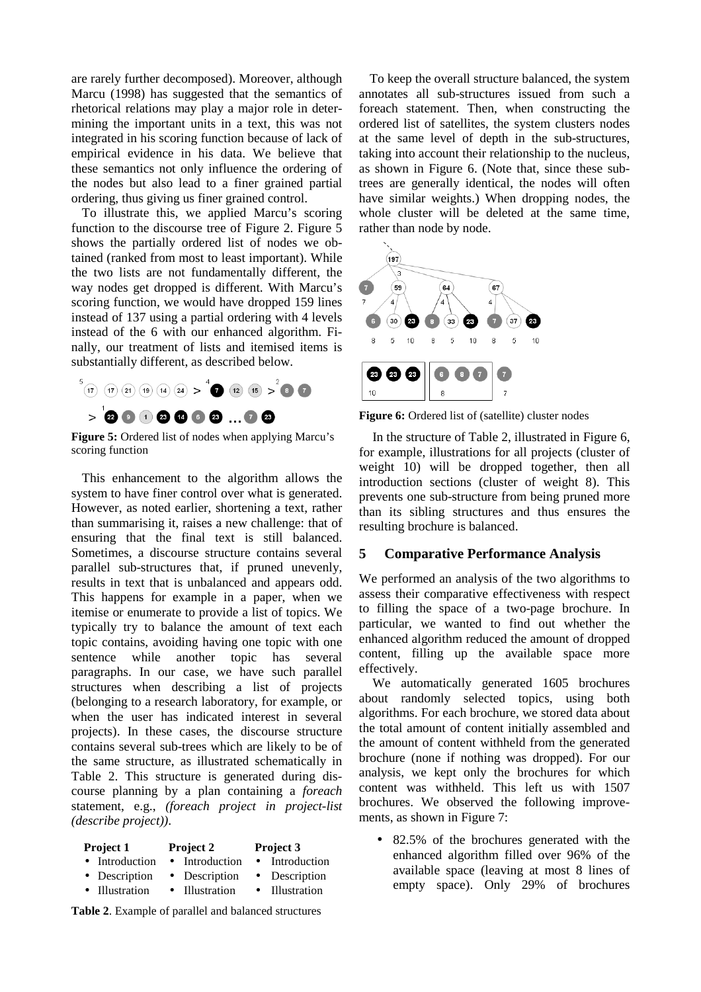are rarely further decomposed). Moreover, although Marcu (1998) has suggested that the semantics of rhetorical relations may play a major role in determining the important units in a text, this was not integrated in his scoring function because of lack of empirical evidence in his data. We believe that these semantics not only influence the ordering of the nodes but also lead to a finer grained partial ordering, thus giving us finer grained control.

To illustrate this, we applied Marcu's scoring function to the discourse tree of Figure 2. Figure 5 shows the partially ordered list of nodes we obtained (ranked from most to least important). While the two lists are not fundamentally different, the way nodes get dropped is different. With Marcu's scoring function, we would have dropped 159 lines instead of 137 using a partial ordering with 4 levels instead of the 6 with our enhanced algorithm. Finally, our treatment of lists and itemised items is substantially different, as described below.



**Figure 5:** Ordered list of nodes when applying Marcu's scoring function

This enhancement to the algorithm allows the system to have finer control over what is generated. However, as noted earlier, shortening a text, rather than summarising it, raises a new challenge: that of ensuring that the final text is still balanced. Sometimes, a discourse structure contains several parallel sub-structures that, if pruned unevenly, results in text that is unbalanced and appears odd. This happens for example in a paper, when we itemise or enumerate to provide a list of topics. We typically try to balance the amount of text each topic contains, avoiding having one topic with one sentence while another topic has several paragraphs. In our case, we have such parallel structures when describing a list of projects (belonging to a research laboratory, for example, or when the user has indicated interest in several projects). In these cases, the discourse structure contains several sub-trees which are likely to be of the same structure, as illustrated schematically in Table 2. This structure is generated during discourse planning by a plan containing a *foreach* statement, e.g., *(foreach project in project-list (describe project))*.

| <b>Project 2</b> | Project 3      |
|------------------|----------------|
| • Introduction   | • Introduction |
| • Description    | • Description  |
| • Illustration   | • Illustration |
|                  |                |

**Table 2**. Example of parallel and balanced structures

To keep the overall structure balanced, the system annotates all sub-structures issued from such a foreach statement. Then, when constructing the ordered list of satellites, the system clusters nodes at the same level of depth in the sub-structures, taking into account their relationship to the nucleus, as shown in Figure 6. (Note that, since these subtrees are generally identical, the nodes will often have similar weights.) When dropping nodes, the whole cluster will be deleted at the same time, rather than node by node.



Figure 6: Ordered list of (satellite) cluster nodes

In the structure of Table 2, illustrated in Figure 6, for example, illustrations for all projects (cluster of weight 10) will be dropped together, then all introduction sections (cluster of weight 8). This prevents one sub-structure from being pruned more than its sibling structures and thus ensures the resulting brochure is balanced.

### **5 Comparative Performance Analysis**

We performed an analysis of the two algorithms to assess their comparative effectiveness with respect to filling the space of a two-page brochure. In particular, we wanted to find out whether the enhanced algorithm reduced the amount of dropped content, filling up the available space more effectively.

We automatically generated 1605 brochures about randomly selected topics, using both algorithms. For each brochure, we stored data about the total amount of content initially assembled and the amount of content withheld from the generated brochure (none if nothing was dropped). For our analysis, we kept only the brochures for which content was withheld. This left us with 1507 brochures. We observed the following improvements, as shown in Figure 7:

• 82.5% of the brochures generated with the enhanced algorithm filled over 96% of the available space (leaving at most 8 lines of empty space). Only 29% of brochures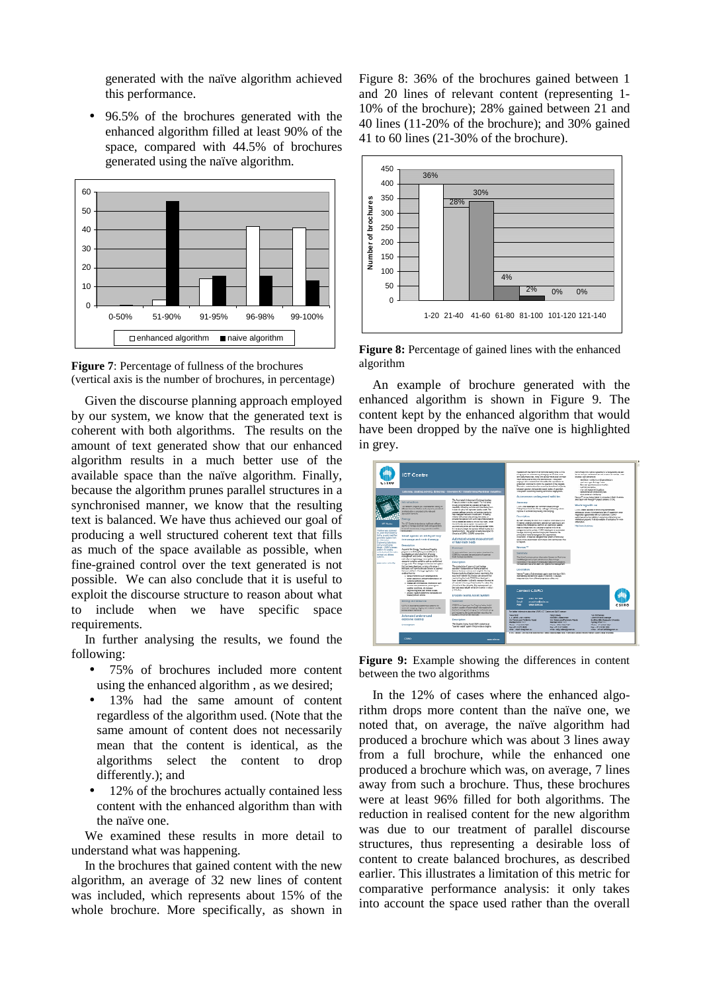generated with the naïve algorithm achieved this performance.

• 96.5% of the brochures generated with the enhanced algorithm filled at least 90% of the space, compared with 44.5% of brochures generated using the naïve algorithm.





Given the discourse planning approach employed by our system, we know that the generated text is coherent with both algorithms. The results on the amount of text generated show that our enhanced algorithm results in a much better use of the available space than the naïve algorithm. Finally, because the algorithm prunes parallel structures in a synchronised manner, we know that the resulting text is balanced. We have thus achieved our goal of producing a well structured coherent text that fills as much of the space available as possible, when fine-grained control over the text generated is not possible. We can also conclude that it is useful to exploit the discourse structure to reason about what to include when we have specific space requirements.

In further analysing the results, we found the following:

- 75% of brochures included more content using the enhanced algorithm , as we desired;
- 13% had the same amount of content regardless of the algorithm used. (Note that the same amount of content does not necessarily mean that the content is identical, as the algorithms select the content to drop differently.); and
- 12% of the brochures actually contained less content with the enhanced algorithm than with the naïve one.

We examined these results in more detail to understand what was happening.

In the brochures that gained content with the new algorithm, an average of 32 new lines of content was included, which represents about 15% of the whole brochure. More specifically, as shown in

Figure 8: 36% of the brochures gained between 1 and 20 lines of relevant content (representing 1- 10% of the brochure); 28% gained between 21 and 40 lines (11-20% of the brochure); and 30% gained 41 to 60 lines (21-30% of the brochure).



**Figure 8:** Percentage of gained lines with the enhanced algorithm

An example of brochure generated with the enhanced algorithm is shown in Figure 9. The content kept by the enhanced algorithm that would have been dropped by the naïve one is highlighted in grey.



**Figure 9:** Example showing the differences in content between the two algorithms

In the 12% of cases where the enhanced algorithm drops more content than the naïve one, we noted that, on average, the naïve algorithm had produced a brochure which was about 3 lines away from a full brochure, while the enhanced one produced a brochure which was, on average, 7 lines away from such a brochure. Thus, these brochures were at least 96% filled for both algorithms. The reduction in realised content for the new algorithm was due to our treatment of parallel discourse structures, thus representing a desirable loss of content to create balanced brochures, as described earlier. This illustrates a limitation of this metric for comparative performance analysis: it only takes into account the space used rather than the overall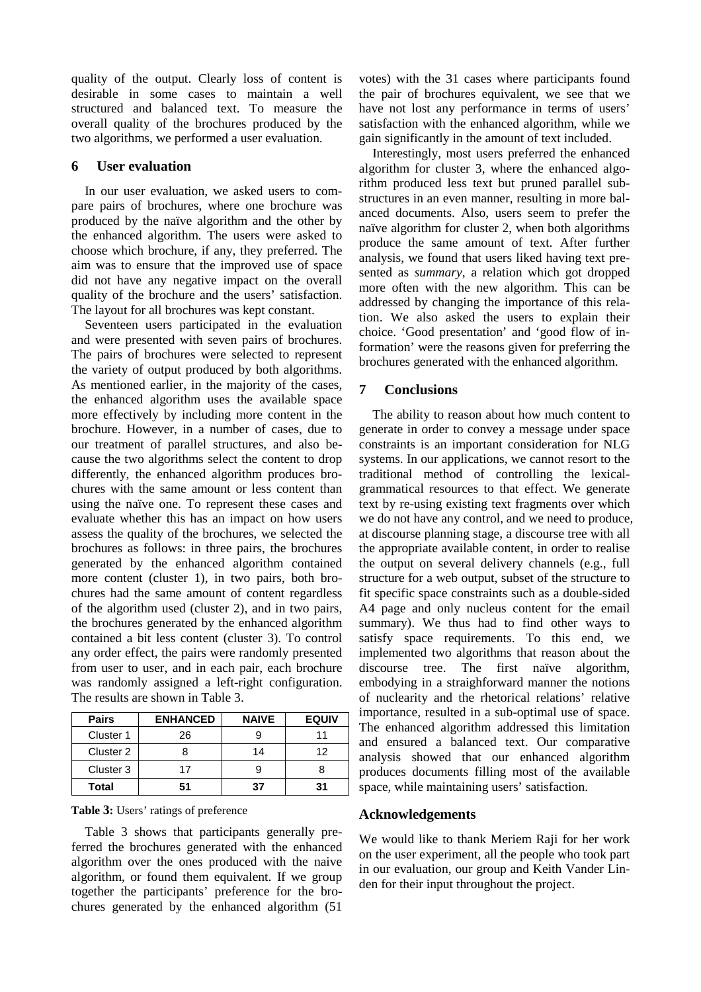quality of the output. Clearly loss of content is desirable in some cases to maintain a well structured and balanced text. To measure the overall quality of the brochures produced by the two algorithms, we performed a user evaluation.

# **6 User evaluation**

In our user evaluation, we asked users to compare pairs of brochures, where one brochure was produced by the naïve algorithm and the other by the enhanced algorithm. The users were asked to choose which brochure, if any, they preferred. The aim was to ensure that the improved use of space did not have any negative impact on the overall quality of the brochure and the users' satisfaction. The layout for all brochures was kept constant.

Seventeen users participated in the evaluation and were presented with seven pairs of brochures. The pairs of brochures were selected to represent the variety of output produced by both algorithms. As mentioned earlier, in the majority of the cases, the enhanced algorithm uses the available space more effectively by including more content in the brochure. However, in a number of cases, due to our treatment of parallel structures, and also because the two algorithms select the content to drop differently, the enhanced algorithm produces brochures with the same amount or less content than using the naïve one. To represent these cases and evaluate whether this has an impact on how users assess the quality of the brochures, we selected the brochures as follows: in three pairs, the brochures generated by the enhanced algorithm contained more content (cluster 1), in two pairs, both brochures had the same amount of content regardless of the algorithm used (cluster 2), and in two pairs, the brochures generated by the enhanced algorithm contained a bit less content (cluster 3). To control any order effect, the pairs were randomly presented from user to user, and in each pair, each brochure was randomly assigned a left-right configuration. The results are shown in Table 3.

| <b>Pairs</b> | <b>ENHANCED</b> | <b>NAIVE</b> | <b>EQUIV</b> |
|--------------|-----------------|--------------|--------------|
| Cluster 1    | 26              |              | 11           |
| Cluster 2    |                 | 14           | 12           |
| Cluster 3    | 17              |              |              |
| Total        | 51              | 37           | 31           |

|  |  |  |  | Table 3: Users' ratings of preference |
|--|--|--|--|---------------------------------------|
|--|--|--|--|---------------------------------------|

Table 3 shows that participants generally preferred the brochures generated with the enhanced algorithm over the ones produced with the naive algorithm, or found them equivalent. If we group together the participants' preference for the brochures generated by the enhanced algorithm (51

votes) with the 31 cases where participants found the pair of brochures equivalent, we see that we have not lost any performance in terms of users' satisfaction with the enhanced algorithm, while we gain significantly in the amount of text included.

Interestingly, most users preferred the enhanced algorithm for cluster 3, where the enhanced algorithm produced less text but pruned parallel substructures in an even manner, resulting in more balanced documents. Also, users seem to prefer the naïve algorithm for cluster 2, when both algorithms produce the same amount of text. After further analysis, we found that users liked having text presented as *summary*, a relation which got dropped more often with the new algorithm. This can be addressed by changing the importance of this relation. We also asked the users to explain their choice. 'Good presentation' and 'good flow of information' were the reasons given for preferring the brochures generated with the enhanced algorithm.

# **7 Conclusions**

The ability to reason about how much content to generate in order to convey a message under space constraints is an important consideration for NLG systems. In our applications, we cannot resort to the traditional method of controlling the lexicalgrammatical resources to that effect. We generate text by re-using existing text fragments over which we do not have any control, and we need to produce, at discourse planning stage, a discourse tree with all the appropriate available content, in order to realise the output on several delivery channels (e.g., full structure for a web output, subset of the structure to fit specific space constraints such as a double-sided A4 page and only nucleus content for the email summary). We thus had to find other ways to satisfy space requirements. To this end, we implemented two algorithms that reason about the discourse tree. The first naïve algorithm, embodying in a straighforward manner the notions of nuclearity and the rhetorical relations' relative importance, resulted in a sub-optimal use of space. The enhanced algorithm addressed this limitation and ensured a balanced text. Our comparative analysis showed that our enhanced algorithm produces documents filling most of the available space, while maintaining users' satisfaction.

# **Acknowledgements**

We would like to thank Meriem Raji for her work on the user experiment, all the people who took part in our evaluation, our group and Keith Vander Linden for their input throughout the project.